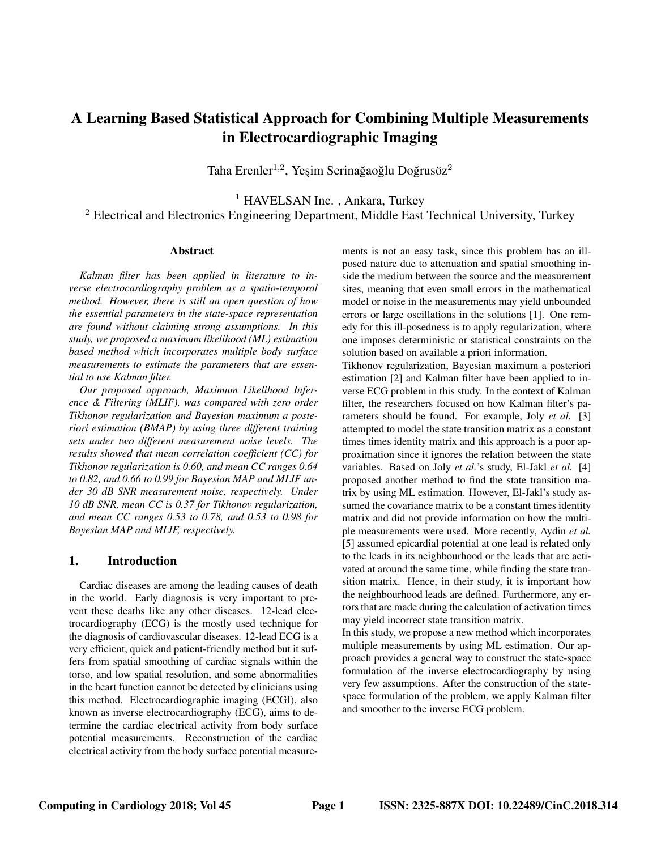# A Learning Based Statistical Approach for Combining Multiple Measurements in Electrocardiographic Imaging

Taha Erenler $^{1,2}$ , Yeşim Serinağaoğlu Doğrusöz $^2$ 

<sup>1</sup> HAVELSAN Inc., Ankara, Turkey <sup>2</sup> Electrical and Electronics Engineering Department, Middle East Technical University, Turkey

#### Abstract

*Kalman filter has been applied in literature to inverse electrocardiography problem as a spatio-temporal method. However, there is still an open question of how the essential parameters in the state-space representation are found without claiming strong assumptions. In this study, we proposed a maximum likelihood (ML) estimation based method which incorporates multiple body surface measurements to estimate the parameters that are essential to use Kalman filter.*

*Our proposed approach, Maximum Likelihood Inference & Filtering (MLIF), was compared with zero order Tikhonov regularization and Bayesian maximum a posteriori estimation (BMAP) by using three different training sets under two different measurement noise levels. The results showed that mean correlation coefficient (CC) for Tikhonov regularization is 0.60, and mean CC ranges 0.64 to 0.82, and 0.66 to 0.99 for Bayesian MAP and MLIF under 30 dB SNR measurement noise, respectively. Under 10 dB SNR, mean CC is 0.37 for Tikhonov regularization, and mean CC ranges 0.53 to 0.78, and 0.53 to 0.98 for Bayesian MAP and MLIF, respectively.*

### 1. Introduction

Cardiac diseases are among the leading causes of death in the world. Early diagnosis is very important to prevent these deaths like any other diseases. 12-lead electrocardiography (ECG) is the mostly used technique for the diagnosis of cardiovascular diseases. 12-lead ECG is a very efficient, quick and patient-friendly method but it suffers from spatial smoothing of cardiac signals within the torso, and low spatial resolution, and some abnormalities in the heart function cannot be detected by clinicians using this method. Electrocardiographic imaging (ECGI), also known as inverse electrocardiography (ECG), aims to determine the cardiac electrical activity from body surface potential measurements. Reconstruction of the cardiac electrical activity from the body surface potential measurements is not an easy task, since this problem has an illposed nature due to attenuation and spatial smoothing inside the medium between the source and the measurement sites, meaning that even small errors in the mathematical model or noise in the measurements may yield unbounded errors or large oscillations in the solutions [1]. One remedy for this ill-posedness is to apply regularization, where one imposes deterministic or statistical constraints on the solution based on available a priori information.

Tikhonov regularization, Bayesian maximum a posteriori estimation [2] and Kalman filter have been applied to inverse ECG problem in this study. In the context of Kalman filter, the researchers focused on how Kalman filter's parameters should be found. For example, Joly *et al.* [3] attempted to model the state transition matrix as a constant times times identity matrix and this approach is a poor approximation since it ignores the relation between the state variables. Based on Joly *et al.*'s study, El-Jakl *et al.* [4] proposed another method to find the state transition matrix by using ML estimation. However, El-Jakl's study assumed the covariance matrix to be a constant times identity matrix and did not provide information on how the multiple measurements were used. More recently, Aydin *et al.* [5] assumed epicardial potential at one lead is related only to the leads in its neighbourhood or the leads that are activated at around the same time, while finding the state transition matrix. Hence, in their study, it is important how the neighbourhood leads are defined. Furthermore, any errors that are made during the calculation of activation times may yield incorrect state transition matrix.

In this study, we propose a new method which incorporates multiple measurements by using ML estimation. Our approach provides a general way to construct the state-space formulation of the inverse electrocardiography by using very few assumptions. After the construction of the statespace formulation of the problem, we apply Kalman filter and smoother to the inverse ECG problem.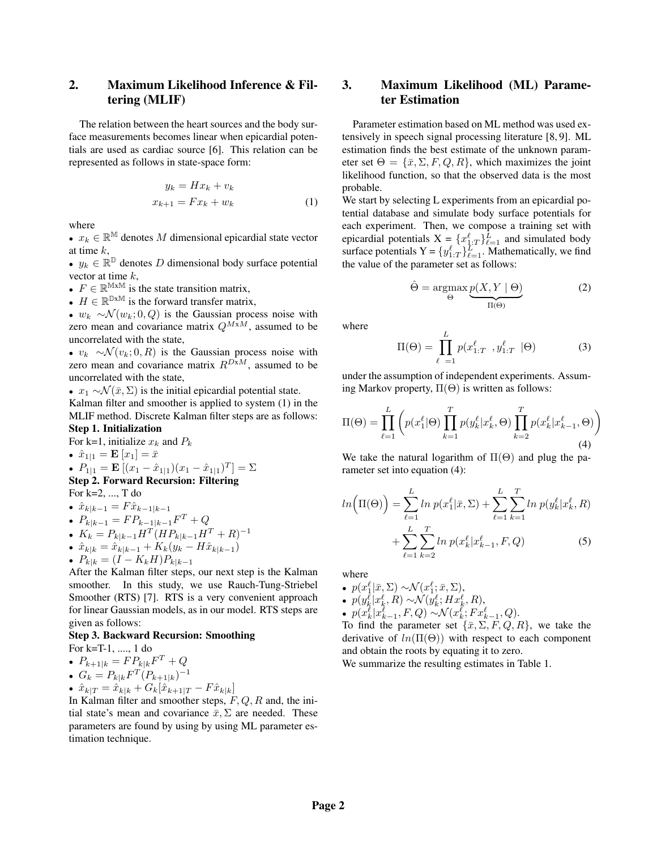# 2. Maximum Likelihood Inference & Filtering (MLIF)

The relation between the heart sources and the body surface measurements becomes linear when epicardial potentials are used as cardiac source [6]. This relation can be represented as follows in state-space form:

$$
y_k = Hx_k + v_k
$$
  

$$
x_{k+1} = Fx_k + w_k
$$
 (1)

where

•  $x_k \in \mathbb{R}^{\mathbb{M}}$  denotes M dimensional epicardial state vector at time k,

•  $y_k \in \mathbb{R}^{\mathbb{D}}$  denotes D dimensional body surface potential vector at time  $k$ ,

•  $F \in \mathbb{R}^{M \times M}$  is the state transition matrix,

•  $H \in \mathbb{R}^{\mathbb{D} \times \mathbb{M}}$  is the forward transfer matrix,

•  $w_k \sim \mathcal{N}(w_k; 0, Q)$  is the Gaussian process noise with zero mean and covariance matrix  $Q^{M\bar{x}M}$ , assumed to be uncorrelated with the state,

•  $v_k \sim \mathcal{N}(v_k; 0, R)$  is the Gaussian process noise with zero mean and covariance matrix  $R^{DxM}$ , assumed to be uncorrelated with the state,

•  $x_1 \sim \mathcal{N}(\bar{x}, \Sigma)$  is the initial epicardial potential state.

Kalman filter and smoother is applied to system (1) in the MLIF method. Discrete Kalman filter steps are as follows: Step 1. Initialization

For k=1, initialize  $x_k$  and  $P_k$ •  $\hat{x}_{1|1} = \mathbf{E} [x_1] = \bar{x}$ •  $P_{1|1} = \mathbf{E} [(x_1 - \hat{x}_{1|1})(x_1 - \hat{x}_{1|1})^T] = \Sigma$ Step 2. Forward Recursion: Filtering

For k=2, ..., T do

• 
$$
\hat{x}_{k|k-1} = F\hat{x}_{k-1|k-1}
$$

• 
$$
P_{k|k-1} = FP_{k-1|k-1}F^T + Q
$$

- $K_k = P_{k|k-1} H^T (H P_{k|k-1} H^T + R)^{-1}$
- $\hat{x}_{k|k} = \hat{x}_{k|k-1} + K_k(y_k H\hat{x}_{k|k-1})$

$$
\bullet \ \ P_{k|k} = (I - K_k H) P_{k|k-1}
$$

After the Kalman filter steps, our next step is the Kalman smoother. In this study, we use Rauch-Tung-Striebel Smoother (RTS) [7]. RTS is a very convenient approach for linear Gaussian models, as in our model. RTS steps are given as follows:

#### Step 3. Backward Recursion: Smoothing

For k=T-1, ...., 1 do

$$
\bullet \ \ P_{k+1|k} = FP_{k|k}F^T + Q
$$

• 
$$
G_k = P_{k|k} F^T (P_{k+1|k})^{-1}
$$

•  $\hat{x}_{k|T} = \hat{x}_{k|k} + G_k[\hat{x}_{k+1|T} - F\hat{x}_{k|k}]$ 

In Kalman filter and smoother steps,  $F, Q, R$  and, the initial state's mean and covariance  $\bar{x}, \Sigma$  are needed. These parameters are found by using by using ML parameter estimation technique.

# 3. Maximum Likelihood (ML) Parameter Estimation

Parameter estimation based on ML method was used extensively in speech signal processing literature [8, 9]. ML estimation finds the best estimate of the unknown parameter set  $\Theta = {\bar{x}, \Sigma, F, Q, R}$ , which maximizes the joint likelihood function, so that the observed data is the most probable.

We start by selecting L experiments from an epicardial potential database and simulate body surface potentials for each experiment. Then, we compose a training set with epicardial potentials  $X = \{x_{1:T}^{\ell}\}_{\ell=1}^{L}$  and simulated body surface potentials  $Y = \{y_{1:T}^{\ell}\}_{\ell=1}^{L}$ . Mathematically, we find the value of the parameter set as follows:

$$
\hat{\Theta} = \underset{\Theta}{\operatorname{argmax}} \underbrace{p(X, Y \mid \Theta)}_{\Pi(\Theta)} \tag{2}
$$

where

$$
\Pi(\Theta) = \prod_{\ell=1}^{L} p(x_{1:T}^{\ell}, y_{1:T}^{\ell} | \Theta)
$$
 (3)

under the assumption of independent experiments. Assuming Markov property,  $\Pi(\Theta)$  is written as follows:

$$
\Pi(\Theta) = \prod_{\ell=1}^{L} \left( p(x_1^{\ell}|\Theta) \prod_{k=1}^{T} p(y_k^{\ell} | x_k^{\ell}, \Theta) \prod_{k=2}^{T} p(x_k^{\ell} | x_{k-1}^{\ell}, \Theta) \right)
$$
\n(4)

We take the natural logarithm of  $\Pi(\Theta)$  and plug the parameter set into equation (4):

$$
ln\left(\Pi(\Theta)\right) = \sum_{\ell=1}^{L} ln \ p(x_1^{\ell} | \bar{x}, \Sigma) + \sum_{\ell=1}^{L} \sum_{k=1}^{T} ln \ p(y_k^{\ell} | x_k^{\ell}, R) + \sum_{\ell=1}^{L} \sum_{k=2}^{T} ln \ p(x_k^{\ell} | x_{k-1}^{\ell}, F, Q)
$$
 (5)

where

- $p(x_1^{\ell}|\bar{x}, \Sigma) \sim \mathcal{N}(x_1^{\ell}; \bar{x}, \Sigma),$
- $p(y_k^{\ell}|x_k^{\ell},R) \sim \mathcal{N}(y_k^{\ell};Hx_k^{\ell},R),$
- $p(x_k^{\ell} | x_{k-1}^{\ell}, F, Q) \sim \mathcal{N}(x_k^{\ell}; F x_{k-1}^{\ell}, Q).$

To find the parameter set  $\{\bar{x}, \Sigma, F, Q, R\}$ , we take the derivative of  $ln(\Pi(\Theta))$  with respect to each component and obtain the roots by equating it to zero.

We summarize the resulting estimates in Table 1.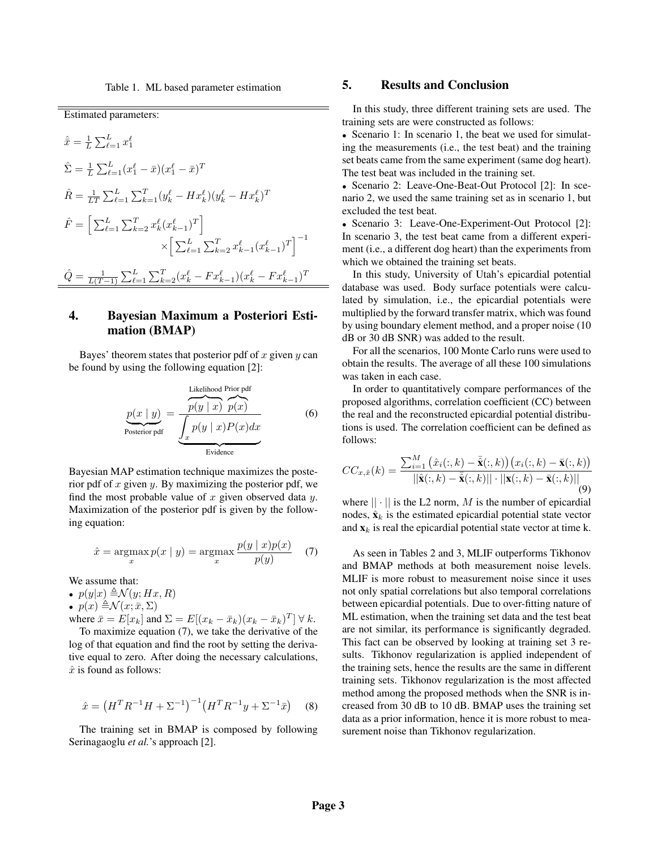Table 1. ML based parameter estimation

Estimated parameters:

$$
\hat{\bar{x}} = \frac{1}{L} \sum_{\ell=1}^{L} x_1^{\ell}
$$
\n
$$
\hat{\Sigma} = \frac{1}{L} \sum_{\ell=1}^{L} (x_1^{\ell} - \bar{x})(x_1^{\ell} - \bar{x})^T
$$
\n
$$
\hat{R} = \frac{1}{LT} \sum_{\ell=1}^{L} \sum_{k=1}^{T} (y_k^{\ell} - Hx_k^{\ell})(y_k^{\ell} - Hx_k^{\ell})^T
$$
\n
$$
\hat{F} = \left[ \sum_{\ell=1}^{L} \sum_{k=2}^{T} x_k^{\ell} (x_{k-1}^{\ell})^T \right]
$$
\n
$$
\times \left[ \sum_{\ell=1}^{L} \sum_{k=2}^{T} x_{k-1}^{\ell} (x_{k-1}^{\ell})^T \right]^{-1}
$$
\n
$$
\hat{Q} = \frac{1}{L(T-1)} \sum_{\ell=1}^{L} \sum_{k=2}^{T} (x_k^{\ell} - Fx_{k-1}^{\ell}) (x_k^{\ell} - Fx_{k-1}^{\ell})^T
$$

# 4. Bayesian Maximum a Posteriori Estimation (BMAP)

Bayes' theorem states that posterior pdf of  $x$  given  $y$  can be found by using the following equation [2]:

$$
\underbrace{p(x \mid y)}_{\text{Posterior pdf}} = \underbrace{\frac{\text{Likelihood Prior pdf}}{p(y \mid x) p(x)}}_{\text{Evidence}} \tag{6}
$$

Bayesian MAP estimation technique maximizes the posterior pdf of  $x$  given  $y$ . By maximizing the posterior pdf, we find the most probable value of  $x$  given observed data  $y$ . Maximization of the posterior pdf is given by the following equation:

$$
\hat{x} = \operatorname*{argmax}_{x} p(x \mid y) = \operatorname*{argmax}_{x} \frac{p(y \mid x)p(x)}{p(y)} \quad (7)
$$

We assume that:

•  $p(y|x) \triangleq \mathcal{N}(y; Hx, R)$ 

•  $p(x) \triangleq \mathcal{N}(x; \bar{x}, \Sigma)$ 

where 
$$
\bar{x} = E[x_k]
$$
 and  $\Sigma = E[(x_k - \bar{x}_k)(x_k - \bar{x}_k)^T] \forall k$ .

To maximize equation (7), we take the derivative of the log of that equation and find the root by setting the derivative equal to zero. After doing the necessary calculations,  $\hat{x}$  is found as follows:

$$
\hat{x} = \left(H^T R^{-1} H + \Sigma^{-1}\right)^{-1} \left(H^T R^{-1} y + \Sigma^{-1} \bar{x}\right) \tag{8}
$$

The training set in BMAP is composed by following Serinagaoglu *et al.*'s approach [2].

### 5. Results and Conclusion

In this study, three different training sets are used. The training sets are were constructed as follows:

• Scenario 1: In scenario 1, the beat we used for simulating the measurements (i.e., the test beat) and the training set beats came from the same experiment (same dog heart). The test beat was included in the training set.

• Scenario 2: Leave-One-Beat-Out Protocol [2]: In scenario 2, we used the same training set as in scenario 1, but excluded the test beat.

• Scenario 3: Leave-One-Experiment-Out Protocol [2]: In scenario 3, the test beat came from a different experiment (i.e., a different dog heart) than the experiments from which we obtained the training set beats.

In this study, University of Utah's epicardial potential database was used. Body surface potentials were calculated by simulation, i.e., the epicardial potentials were multiplied by the forward transfer matrix, which was found by using boundary element method, and a proper noise (10 dB or 30 dB SNR) was added to the result.

For all the scenarios, 100 Monte Carlo runs were used to obtain the results. The average of all these 100 simulations was taken in each case.

In order to quantitatively compare performances of the proposed algorithms, correlation coefficient (CC) between the real and the reconstructed epicardial potential distributions is used. The correlation coefficient can be defined as follows:

$$
CC_{x,\hat{x}}(k) = \frac{\sum_{i=1}^{M} (\hat{x}_i(:,k) - \bar{\hat{\mathbf{x}}}(:,k)) (x_i(:,k) - \bar{\mathbf{x}}(:,k))}{||\hat{\mathbf{x}}(:,k) - \bar{\hat{\mathbf{x}}}(:,k)|| \cdot ||\mathbf{x}(:,k) - \bar{\mathbf{x}}(:,k)||}
$$
(9)

where  $|| \cdot ||$  is the L2 norm, M is the number of epicardial nodes,  $\hat{\mathbf{x}}_k$  is the estimated epicardial potential state vector and  $\mathbf{x}_k$  is real the epicardial potential state vector at time k.

As seen in Tables 2 and 3, MLIF outperforms Tikhonov and BMAP methods at both measurement noise levels. MLIF is more robust to measurement noise since it uses not only spatial correlations but also temporal correlations between epicardial potentials. Due to over-fitting nature of ML estimation, when the training set data and the test beat are not similar, its performance is significantly degraded. This fact can be observed by looking at training set 3 results. Tikhonov regularization is applied independent of the training sets, hence the results are the same in different training sets. Tikhonov regularization is the most affected method among the proposed methods when the SNR is increased from 30 dB to 10 dB. BMAP uses the training set data as a prior information, hence it is more robust to measurement noise than Tikhonov regularization.